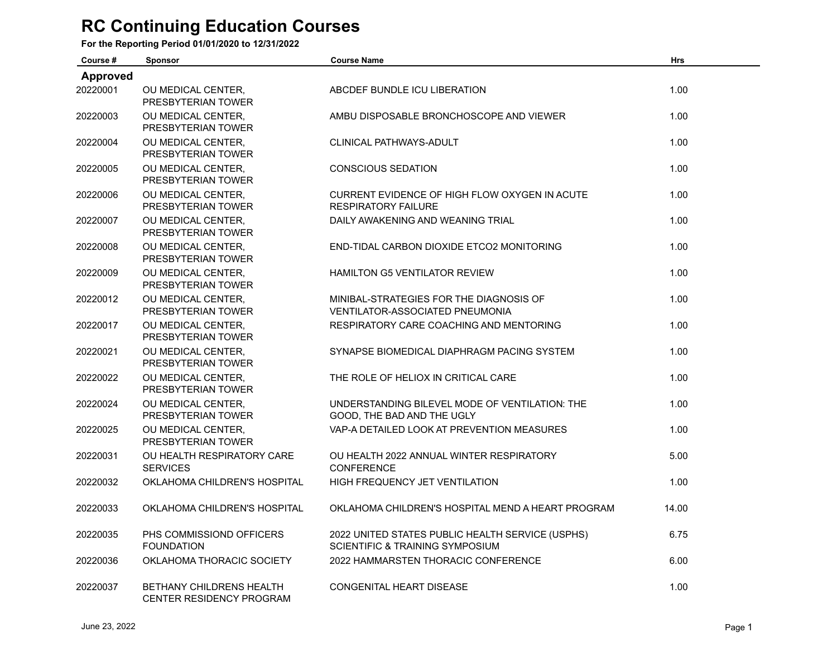## **RC Continuing Education Courses**

**For the Reporting Period 01/01/2020 to 12/31/2022**

| Course #        | <b>Sponsor</b>                                              | <b>Course Name</b>                                                                             | <b>Hrs</b> |  |
|-----------------|-------------------------------------------------------------|------------------------------------------------------------------------------------------------|------------|--|
| <b>Approved</b> |                                                             |                                                                                                |            |  |
| 20220001        | OU MEDICAL CENTER.<br>PRESBYTERIAN TOWER                    | ABCDEF BUNDLE ICU LIBERATION                                                                   | 1.00       |  |
| 20220003        | OU MEDICAL CENTER,<br>PRESBYTERIAN TOWER                    | AMBU DISPOSABLE BRONCHOSCOPE AND VIEWER                                                        | 1.00       |  |
| 20220004        | OU MEDICAL CENTER,<br>PRESBYTERIAN TOWER                    | CLINICAL PATHWAYS-ADULT                                                                        | 1.00       |  |
| 20220005        | OU MEDICAL CENTER.<br>PRESBYTERIAN TOWER                    | <b>CONSCIOUS SEDATION</b>                                                                      | 1.00       |  |
| 20220006        | OU MEDICAL CENTER.<br>PRESBYTERIAN TOWER                    | CURRENT EVIDENCE OF HIGH FLOW OXYGEN IN ACUTE<br><b>RESPIRATORY FAILURE</b>                    | 1.00       |  |
| 20220007        | OU MEDICAL CENTER.<br>PRESBYTERIAN TOWER                    | DAILY AWAKENING AND WEANING TRIAL                                                              | 1.00       |  |
| 20220008        | OU MEDICAL CENTER,<br>PRESBYTERIAN TOWER                    | END-TIDAL CARBON DIOXIDE ETCO2 MONITORING                                                      | 1.00       |  |
| 20220009        | OU MEDICAL CENTER,<br>PRESBYTERIAN TOWER                    | <b>HAMILTON G5 VENTILATOR REVIEW</b>                                                           | 1.00       |  |
| 20220012        | OU MEDICAL CENTER,<br>PRESBYTERIAN TOWER                    | MINIBAL-STRATEGIES FOR THE DIAGNOSIS OF<br><b>VENTILATOR-ASSOCIATED PNEUMONIA</b>              | 1.00       |  |
| 20220017        | OU MEDICAL CENTER.<br>PRESBYTERIAN TOWER                    | RESPIRATORY CARE COACHING AND MENTORING                                                        | 1.00       |  |
| 20220021        | OU MEDICAL CENTER,<br>PRESBYTERIAN TOWER                    | SYNAPSE BIOMEDICAL DIAPHRAGM PACING SYSTEM                                                     | 1.00       |  |
| 20220022        | OU MEDICAL CENTER,<br>PRESBYTERIAN TOWER                    | THE ROLE OF HELIOX IN CRITICAL CARE                                                            | 1.00       |  |
| 20220024        | OU MEDICAL CENTER,<br>PRESBYTERIAN TOWER                    | UNDERSTANDING BILEVEL MODE OF VENTILATION: THE<br>GOOD, THE BAD AND THE UGLY                   | 1.00       |  |
| 20220025        | OU MEDICAL CENTER.<br>PRESBYTERIAN TOWER                    | VAP-A DETAILED LOOK AT PREVENTION MEASURES                                                     | 1.00       |  |
| 20220031        | OU HEALTH RESPIRATORY CARE<br><b>SERVICES</b>               | OU HEALTH 2022 ANNUAL WINTER RESPIRATORY<br><b>CONFERENCE</b>                                  | 5.00       |  |
| 20220032        | OKLAHOMA CHILDREN'S HOSPITAL                                | HIGH FREQUENCY JET VENTILATION                                                                 | 1.00       |  |
| 20220033        | OKLAHOMA CHILDREN'S HOSPITAL                                | OKLAHOMA CHILDREN'S HOSPITAL MEND A HEART PROGRAM                                              | 14.00      |  |
| 20220035        | PHS COMMISSIOND OFFICERS<br><b>FOUNDATION</b>               | 2022 UNITED STATES PUBLIC HEALTH SERVICE (USPHS)<br><b>SCIENTIFIC &amp; TRAINING SYMPOSIUM</b> | 6.75       |  |
| 20220036        | OKLAHOMA THORACIC SOCIETY                                   | 2022 HAMMARSTEN THORACIC CONFERENCE                                                            | 6.00       |  |
| 20220037        | <b>BETHANY CHILDRENS HEALTH</b><br>CENTER RESIDENCY PROGRAM | <b>CONGENITAL HEART DISEASE</b>                                                                | 1.00       |  |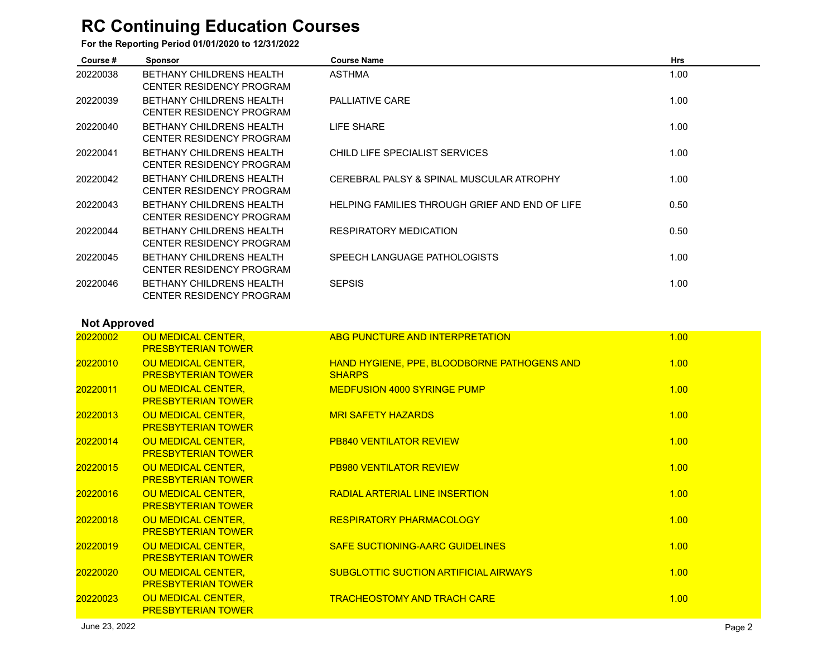## **RC Continuing Education Courses**

**For the Reporting Period 01/01/2020 to 12/31/2022**

| Course # | <b>Sponsor</b>                                                     | <b>Course Name</b>                             | <b>Hrs</b> |
|----------|--------------------------------------------------------------------|------------------------------------------------|------------|
| 20220038 | <b>BETHANY CHILDRENS HEALTH</b><br><b>CENTER RESIDENCY PROGRAM</b> | <b>ASTHMA</b>                                  | 1.00       |
| 20220039 | <b>BETHANY CHILDRENS HEALTH</b><br>CENTER RESIDENCY PROGRAM        | <b>PALLIATIVE CARE</b>                         | 1.00       |
| 20220040 | <b>BETHANY CHILDRENS HEALTH</b><br><b>CENTER RESIDENCY PROGRAM</b> | LIFE SHARE                                     | 1.00       |
| 20220041 | <b>BETHANY CHILDRENS HEALTH</b><br><b>CENTER RESIDENCY PROGRAM</b> | CHILD LIFE SPECIALIST SERVICES                 | 1.00       |
| 20220042 | <b>BETHANY CHILDRENS HEALTH</b><br>CENTER RESIDENCY PROGRAM        | CEREBRAL PALSY & SPINAL MUSCULAR ATROPHY       | 1.00       |
| 20220043 | <b>BETHANY CHILDRENS HEALTH</b><br>CENTER RESIDENCY PROGRAM        | HELPING FAMILIES THROUGH GRIEF AND END OF LIFE | 0.50       |
| 20220044 | <b>BETHANY CHILDRENS HEALTH</b><br><b>CENTER RESIDENCY PROGRAM</b> | <b>RESPIRATORY MEDICATION</b>                  | 0.50       |
| 20220045 | <b>BETHANY CHILDRENS HEALTH</b><br><b>CENTER RESIDENCY PROGRAM</b> | SPEECH LANGUAGE PATHOLOGISTS                   | 1.00       |
| 20220046 | <b>BETHANY CHILDRENS HEALTH</b><br><b>CENTER RESIDENCY PROGRAM</b> | <b>SEPSIS</b>                                  | 1.00       |

## **Not Approved**

| 20220002 | <b>OU MEDICAL CENTER,</b><br><b>PRESBYTERIAN TOWER</b>                | ABG PUNCTURE AND INTERPRETATION                                     | 1.00 |
|----------|-----------------------------------------------------------------------|---------------------------------------------------------------------|------|
| 20220010 | <b>OU MEDICAL CENTER, AND THE READER</b><br><b>PRESBYTERIAN TOWER</b> | <b>HAND HYGIENE, PPE, BLOODBORNE PATHOGENS AND</b><br><b>SHARPS</b> | 1.00 |
| 20220011 | OU MEDICAL CENTER,<br><b>PRESBYTERIAN TOWER</b>                       | MEDFUSION 4000 SYRINGE PUMP                                         | 1.00 |
| 20220013 | <b>OU MEDICAL CENTER, AND THE READER</b><br><b>PRESBYTERIAN TOWER</b> | <b>MRI SAFETY HAZARDS</b>                                           | 1.00 |
| 20220014 | OU MEDICAL CENTER,<br><b>PRESBYTERIAN TOWER</b>                       | <b>PB840 VENTILATOR REVIEW</b>                                      | 1.00 |
| 20220015 | <b>OU MEDICAL CENTER,</b><br><b>PRESBYTERIAN TOWER</b>                | <b>PB980 VENTILATOR REVIEW</b>                                      | 1.00 |
| 20220016 | OU MEDICAL CENTER, AND ALL AND THE<br><b>PRESBYTERIAN TOWER</b>       | <b>RADIAL ARTERIAL LINE INSERTION</b>                               | 1.00 |
| 20220018 | <b>OU MEDICAL CENTER,</b><br><b>PRESBYTERIAN TOWER</b>                | <b>RESPIRATORY PHARMACOLOGY</b>                                     | 1.00 |
| 20220019 | OU MEDICAL CENTER,<br><b>PRESBYTERIAN TOWER</b>                       | <b>SAFE SUCTIONING-AARC GUIDELINES</b>                              | 1.00 |
| 20220020 | OU MEDICAL CENTER,<br><b>PRESBYTERIAN TOWER</b>                       | SUBGLOTTIC SUCTION ARTIFICIAL AIRWAYS                               | 1.00 |
| 20220023 | OU MEDICAL CENTER,<br><b>PRESBYTERIAN TOWER</b>                       | <b>TRACHEOSTOMY AND TRACH CARE</b>                                  | 1.00 |